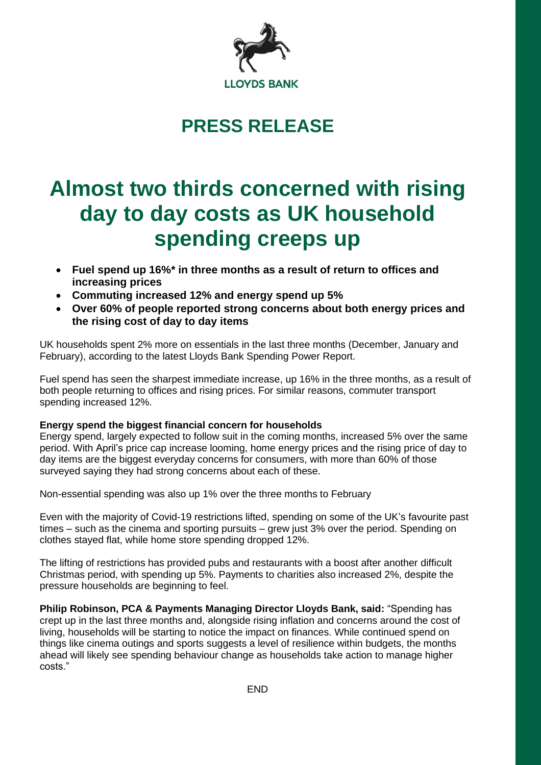

## **PRESS RELEASE**

# **Almost two thirds concerned with rising day to day costs as UK household spending creeps up**

- **Fuel spend up 16%\* in three months as a result of return to offices and increasing prices**
- **Commuting increased 12% and energy spend up 5%**
- **Over 60% of people reported strong concerns about both energy prices and the rising cost of day to day items**

UK households spent 2% more on essentials in the last three months (December, January and February), according to the latest Lloyds Bank Spending Power Report.

Fuel spend has seen the sharpest immediate increase, up 16% in the three months, as a result of both people returning to offices and rising prices. For similar reasons, commuter transport spending increased 12%.

### **Energy spend the biggest financial concern for households**

Energy spend, largely expected to follow suit in the coming months, increased 5% over the same period. With April's price cap increase looming, home energy prices and the rising price of day to day items are the biggest everyday concerns for consumers, with more than 60% of those surveyed saying they had strong concerns about each of these.

Non-essential spending was also up 1% over the three months to February

Even with the majority of Covid-19 restrictions lifted, spending on some of the UK's favourite past times – such as the cinema and sporting pursuits – grew just 3% over the period. Spending on clothes stayed flat, while home store spending dropped 12%.

The lifting of restrictions has provided pubs and restaurants with a boost after another difficult Christmas period, with spending up 5%. Payments to charities also increased 2%, despite the pressure households are beginning to feel.

**Philip Robinson, PCA & Payments Managing Director Lloyds Bank, said:** "Spending has crept up in the last three months and, alongside rising inflation and concerns around the cost of living, households will be starting to notice the impact on finances. While continued spend on things like cinema outings and sports suggests a level of resilience within budgets, the months ahead will likely see spending behaviour change as households take action to manage higher costs."